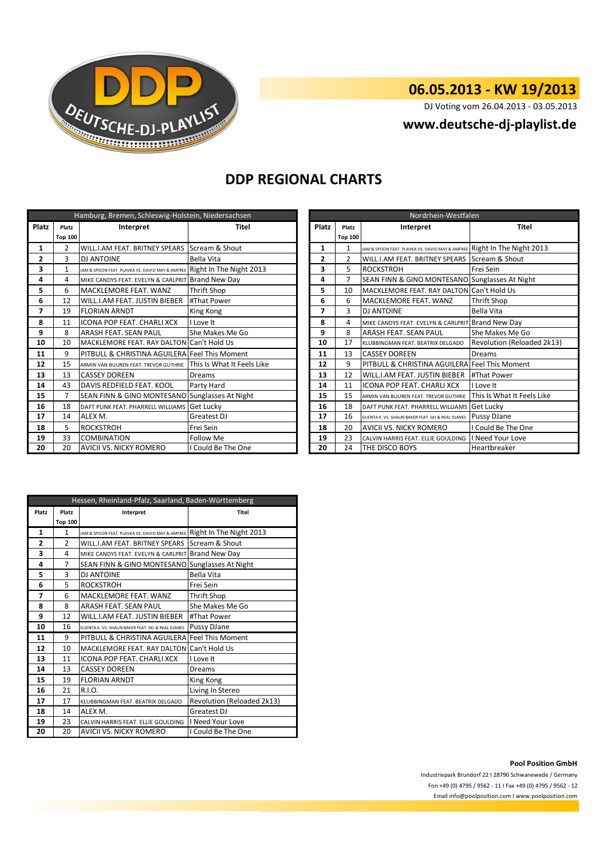

## **06.05.2013 - KW 19/2013**

DJ Voting vom 26.04.2013 - 03.05.2013

## **www.deutsche-dj-playlist.de**

## **DDP REGIONAL CHARTS**

| Hamburg, Bremen, Schleswig-Holstein, Niedersachsen |                |                                                                         |                            |    | Nordrhein-Westfalen |                                                   |                                                                         |                            |
|----------------------------------------------------|----------------|-------------------------------------------------------------------------|----------------------------|----|---------------------|---------------------------------------------------|-------------------------------------------------------------------------|----------------------------|
| Platz                                              | Platz          | Interpret                                                               | Platz<br>Titel             |    | Platz               | Interpret                                         | <b>Titel</b>                                                            |                            |
|                                                    | <b>Top 100</b> |                                                                         |                            |    |                     | <b>Top 100</b>                                    |                                                                         |                            |
| 1                                                  | $\overline{2}$ | WILL.I.AM FEAT. BRITNEY SPEARS SCream & Shout                           |                            |    | 1                   |                                                   | JAM & SPOON FEAT. PLAVKA VS. DAVID MAY & AMFREE Right In The Night 2013 |                            |
| $\mathbf{2}$                                       | 3              | <b>DJ ANTOINE</b>                                                       | Bella Vita                 |    | 2                   | $\overline{2}$                                    | WILL.I.AM FEAT. BRITNEY SPEARS SCream & Shout                           |                            |
| 3                                                  |                | JAM & SPOON FEAT. PLAVKA VS. DAVID MAY & AMFREE Right In The Night 2013 |                            |    | 3                   | 5                                                 | <b>ROCKSTROH</b>                                                        | Frei Sein                  |
| 4                                                  | 4              | MIKE CANDYS FEAT. EVELYN & CARLPRIT Brand New Day                       |                            |    | 4                   |                                                   | SEAN FINN & GINO MONTESANO Sunglasses At Night                          |                            |
| 5                                                  | 6              | MACKLEMORE FEAT. WANZ                                                   | <b>Thrift Shop</b>         |    | 5                   | 10                                                | MACKLEMORE FEAT. RAY DALTON Can't Hold Us                               |                            |
| 6                                                  | 12             | WILL.I.AM FEAT. JUSTIN BIEBER                                           | #That Power                |    | 6                   | 6                                                 | MACKLEMORE FEAT. WANZ                                                   | <b>Thrift Shop</b>         |
| 7                                                  | 19             | 7<br><b>FLORIAN ARNDT</b><br>King Kong                                  |                            |    | 3                   | <b>DJ ANTOINE</b>                                 | <b>Bella Vita</b>                                                       |                            |
| 8                                                  | 11             | <b>ICONA POP FEAT, CHARLI XCX</b><br>Love It                            |                            | 8  | 4                   | MIKE CANDYS FEAT. EVELYN & CARLPRIT Brand New Day |                                                                         |                            |
| 9                                                  | 8              | <b>ARASH FEAT. SEAN PAUL</b>                                            | She Makes Me Go            |    | 9                   | 8                                                 | <b>ARASH FEAT. SEAN PAUL</b>                                            | She Makes Me Go            |
| 10                                                 | 10             | MACKLEMORE FEAT. RAY DALTON Can't Hold Us                               |                            |    | 10                  | 17                                                | KLUBBINGMAN FEAT. BEATRIX DELGADO                                       | Revolution (Reloaded 2k13) |
| 11                                                 | 9              | PITBULL & CHRISTINA AGUILERA Feel This Moment                           |                            |    | 11                  | 13                                                | <b>CASSEY DOREEN</b>                                                    | <b>Dreams</b>              |
| 12                                                 | 15             | ARMIN VAN BUUREN FEAT. TREVOR GUTHRIE                                   | This Is What It Feels Like |    | 12                  | 9                                                 | PITBULL & CHRISTINA AGUILERA Feel This Moment                           |                            |
| 13                                                 | 13             | <b>CASSEY DOREEN</b>                                                    | Dreams                     |    | 13                  | 12                                                | WILL.I.AM FEAT. JUSTIN BIEBER   #That Power                             |                            |
| 14                                                 | 43             | DAVIS REDFIELD FEAT. KOOL                                               | Party Hard                 |    | 14                  | 11                                                | <b>ICONA POP FEAT. CHARLI XCX</b>                                       | I Love It                  |
| 15                                                 | 7              | SEAN FINN & GINO MONTESANO Sunglasses At Night                          |                            |    | 15                  | 15                                                | ARMIN VAN BUUREN FEAT. TREVOR GUTHRIE                                   | This Is What It Feels Like |
| 16                                                 | 18             | DAFT PUNK FEAT. PHARRELL WILLIAMS Get Lucky                             |                            |    | 16                  | 18                                                | DAFT PUNK FEAT. PHARRELL WILLIAMS Get Lucky                             |                            |
| 17                                                 | 14             | ALEX M.                                                                 | Greatest DJ                |    | 17                  | 16                                                | GUENTA K. VS. SHAUN BAKER FEAT. SKI & REAL DJANES                       | Pussy DJane                |
| 18                                                 | 5              | <b>ROCKSTROH</b>                                                        | Frei Sein                  | 18 |                     | 20                                                | <b>AVICII VS. NICKY ROMERO</b>                                          | I Could Be The One         |
| 19                                                 | 33             | <b>COMBINATION</b>                                                      | Follow Me                  | 19 |                     | 23                                                | CALVIN HARRIS FEAT. ELLIE GOULDING                                      | <b>Need Your Love</b>      |
| 20                                                 | 20             | <b>AVICII VS. NICKY ROMERO</b>                                          | I Could Be The One         |    | 20                  | 24                                                | THE DISCO BOYS                                                          | Heartbreaker               |

| Nordrhein-Westfalen |                    |                                                   |                            |  |  |  |
|---------------------|--------------------|---------------------------------------------------|----------------------------|--|--|--|
| <b>Platz</b>        | Interpret<br>Platz |                                                   | Titel                      |  |  |  |
|                     | <b>Top 100</b>     |                                                   |                            |  |  |  |
| 1                   | $\mathbf{1}$       | JAM & SPOON FEAT. PLAVKA VS. DAVID MAY & AMFREE   | Right In The Night 2013    |  |  |  |
| $\overline{2}$      | $\mathfrak{p}$     | WILL.I.AM FEAT. BRITNEY SPEARS                    | Scream & Shout             |  |  |  |
| 3                   | 5                  | <b>ROCKSTROH</b>                                  | Frei Sein                  |  |  |  |
| 4                   | 7                  | SEAN FINN & GINO MONTESANO                        | Sunglasses At Night        |  |  |  |
| 5                   | 10                 | MACKLEMORE FEAT. RAY DALTON                       | Can't Hold Us              |  |  |  |
| 6                   | 6                  | MACKLEMORE FEAT. WANZ                             | <b>Thrift Shop</b>         |  |  |  |
| 7                   | 3                  | <b>DJ ANTOINE</b>                                 | Bella Vita                 |  |  |  |
| 8                   | 4                  | MIKE CANDYS FEAT. EVELYN & CARLPRIT               | <b>Brand New Day</b>       |  |  |  |
| 9                   | 8                  | ARASH FEAT. SEAN PAUL                             | She Makes Me Go            |  |  |  |
| 10                  | 17                 | KLUBBINGMAN FFAT, BFATRIX DFLGADO                 | Revolution (Reloaded 2k13) |  |  |  |
| 11                  | 13                 | <b>CASSEY DOREEN</b>                              | Dreams                     |  |  |  |
| 12                  | 9                  | PITBULL & CHRISTINA AGUILERA Feel This Moment     |                            |  |  |  |
| 13                  | 12                 | WILL.I.AM FEAT. JUSTIN BIEBER                     | #That Power                |  |  |  |
| 14                  | 11                 | <b>ICONA POP FEAT, CHARLI XCX</b>                 | I Love It                  |  |  |  |
| 15                  | 15                 | ARMIN VAN BUUREN FEAT. TREVOR GUTHRIE             | This Is What It Feels Like |  |  |  |
| 16                  | 18                 | DAFT PUNK FEAT. PHARRELL WILLIAMS                 | Get Lucky                  |  |  |  |
| 17                  | 16                 | GUENTA K. VS. SHAUN BAKER FEAT. SKI & REAL DJANES | Pussy DJane                |  |  |  |
| 18                  | 20                 | <b>AVICII VS. NICKY ROMERO</b>                    | I Could Be The One         |  |  |  |
| 19                  | 23                 | CALVIN HARRIS FEAT. ELLIE GOULDING                | I Need Your Love           |  |  |  |
| 20                  | 24                 | THE DISCO BOYS                                    | Heartbreaker               |  |  |  |

| Hessen, Rheinland-Pfalz, Saarland, Baden-Württemberg |                    |                                                   |                            |  |  |  |
|------------------------------------------------------|--------------------|---------------------------------------------------|----------------------------|--|--|--|
| Platz                                                | Platz<br>Interpret |                                                   | Titel                      |  |  |  |
|                                                      | <b>Top 100</b>     |                                                   |                            |  |  |  |
| 1                                                    | 1                  | JAM & SPOON FEAT. PLAVKA VS. DAVID MAY & AMFREE   | Right In The Night 2013    |  |  |  |
| 2                                                    | $\mathfrak{p}$     | WILL.I.AM FEAT. BRITNEY SPEARS                    | Scream & Shout             |  |  |  |
| 3                                                    | 4                  | MIKE CANDYS FEAT. EVELYN & CARLPRIT               | <b>Brand New Day</b>       |  |  |  |
| 4                                                    | 7                  | SEAN FINN & GINO MONTESANO                        | Sunglasses At Night        |  |  |  |
| 5                                                    | 3                  | <b>DJ ANTOINE</b>                                 | Bella Vita                 |  |  |  |
| 6                                                    | 5                  | <b>ROCKSTROH</b>                                  | Frei Sein                  |  |  |  |
| 7                                                    | 6                  | MACKLEMORE FEAT, WANZ                             | <b>Thrift Shop</b>         |  |  |  |
| 8                                                    | 8                  | ARASH FEAT, SEAN PAUL                             | She Makes Me Go            |  |  |  |
| 9                                                    | 12                 | WILL.I.AM FEAT. JUSTIN BIEBER                     | #That Power                |  |  |  |
| 10                                                   | 16                 | GUENTA K. VS. SHAUN BAKER FEAT. SKI & REAL DJANES | Pussy DJane                |  |  |  |
| 11                                                   | 9                  | PITBULL & CHRISTINA AGUILERA Feel This Moment     |                            |  |  |  |
| 12                                                   | 10                 | <b>MACKLEMORE FEAT. RAY DALTON</b>                | Can't Hold Us              |  |  |  |
| 13                                                   | 11                 | <b>ICONA POP FEAT, CHARLI XCX</b>                 | I Love It                  |  |  |  |
| 14                                                   | 13                 | <b>CASSEY DOREEN</b>                              | <b>Dreams</b>              |  |  |  |
| 15                                                   | 19                 | <b>FLORIAN ARNDT</b>                              | King Kong                  |  |  |  |
| 16                                                   | 21                 | R.I.O.                                            | Living In Stereo           |  |  |  |
| 17                                                   | 17                 | KLUBBINGMAN FEAT. BEATRIX DELGADO                 | Revolution (Reloaded 2k13) |  |  |  |
| 18                                                   | 14                 | ALEX M.                                           | Greatest DJ                |  |  |  |
| 19                                                   | 23                 | CALVIN HARRIS FEAT. FLLIF GOULDING                | I Need Your Love           |  |  |  |
| 20                                                   | 20                 | AVICII VS. NICKY ROMERO                           | I Could Be The One         |  |  |  |

#### **Pool Position GmbH**

Industriepark Brundorf 22 I 28790 Schwanewede / Germany Fon +49 (0) 4795 / 9562 - 11 I Fax +49 (0) 4795 / 9562 - 12 Email info@poolposition.com I www.poolposition.com